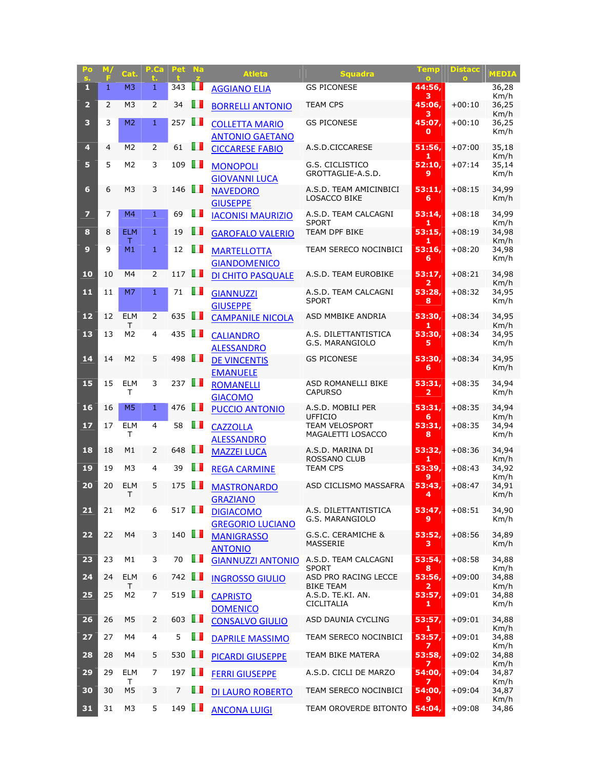| Po<br>s.                | м,             | Cat.                | P.Ca           | Pet                  | <b>Na</b> | <b>Atleta</b>                                   | <b>Squadra</b>                                | Temp<br>$\bullet$                 | <b>Distacc</b> | <b>MEDIA</b>          |
|-------------------------|----------------|---------------------|----------------|----------------------|-----------|-------------------------------------------------|-----------------------------------------------|-----------------------------------|----------------|-----------------------|
| п                       | 1              | M <sub>3</sub>      | 1              | 343                  | . .       | <b>AGGIANO ELIA</b>                             | <b>GS PICONESE</b>                            | 44:56,<br>з                       |                | 36,28<br>Km/h         |
| $\overline{2}$          | $\overline{2}$ | M <sub>3</sub>      | $\overline{2}$ | 34                   | ш         | <b>BORRELLI ANTONIO</b>                         | <b>TEAM CPS</b>                               | 45:06,<br>з                       | $+00:10$       | 36,25<br>Km/h         |
| 3                       | 3              | M <sub>2</sub>      | 1              | 257                  | Ш         | <b>COLLETTA MARIO</b><br><b>ANTONIO GAETANO</b> | <b>GS PICONESE</b>                            | 45:07.<br>O                       | $+00:10$       | 36,25<br>Km/h         |
| 4                       | 4              | M <sub>2</sub>      | $\overline{2}$ | 61                   | H         | <b>CICCARESE FABIO</b>                          | A.S.D.CICCARESE                               | 51:56,<br>1                       | $+07:00$       | 35,18<br>Km/h         |
| 5                       | 5              | M <sub>2</sub>      | 3              | 109                  | m         | <b>MONOPOLI</b><br><b>GIOVANNI LUCA</b>         | G.S. CICLISTICO<br>GROTTAGLIE-A.S.D.          | 52:10,<br>9                       | $+07:14$       | 35,14<br>Km/h         |
| 6                       | 6              | M <sub>3</sub>      | 3              | 146                  | ш         | <b>NAVEDORO</b><br><b>GIUSEPPE</b>              | A.S.D. TEAM AMICINBICI<br><b>LOSACCO BIKE</b> | 53:11.<br>6                       | $+08:15$       | 34,99<br>Km/h         |
| $\overline{\mathbf{z}}$ | 7              | M <sub>4</sub>      | $\mathbf{1}$   | 69                   | <b>II</b> | <b>IACONISI MAURIZIO</b>                        | A.S.D. TEAM CALCAGNI<br><b>SPORT</b>          | 53:14,<br>1                       | $+08:18$       | 34,99<br>Km/h         |
| 8                       | 8              | <b>ELM</b>          | $\mathbf{1}$   | 19                   | ш         | <b>GAROFALO VALERIO</b>                         | <b>TEAM DPF BIKE</b>                          | 53:15,                            | $+08:19$       | 34,98                 |
| $\boldsymbol{9}$        | 9              | т<br>M <sub>1</sub> | $\mathbf{1}$   | 12                   | ш         | <b>MARTELLOTTA</b><br><b>GIANDOMENICO</b>       | TEAM SERECO NOCINBICI                         | 1<br>53:16,<br>6                  | $+08:20$       | Km/h<br>34,98<br>Km/h |
| 10                      | 10             | M4                  | $\overline{2}$ | 117                  | w         | DI CHITO PASQUALE                               | A.S.D. TEAM EUROBIKE                          | 53:17,                            | $+08:21$       | 34,98                 |
| 11                      | 11             | M7                  | 1              | 71                   | H         | <b>GIANNUZZI</b><br><b>GIUSEPPE</b>             | A.S.D. TEAM CALCAGNI<br><b>SPORT</b>          | 2<br>53:28,<br>8                  | $+08:32$       | Km/h<br>34,95<br>Km/h |
| 12                      | 12             | <b>ELM</b><br>т     | $\overline{2}$ | 635                  | H         | <b>CAMPANILE NICOLA</b>                         | ASD MMBIKE ANDRIA                             | 53:30,<br>1                       | $+08:34$       | 34,95<br>Km/h         |
| 13                      | 13             | M2                  | 4              | 435                  | ш         | <b>CALIANDRO</b><br><b>ALESSANDRO</b>           | A.S. DILETTANTISTICA<br>G.S. MARANGIOLO       | 53:30,<br>5                       | $+08:34$       | 34,95<br>Km/h         |
| 14                      | 14             | M <sub>2</sub>      | 5              | 498                  | ш         | <b>DE VINCENTIS</b><br><b>EMANUELE</b>          | <b>GS PICONESE</b>                            | 53:30,<br>6                       | $+08:34$       | 34,95<br>Km/h         |
| 15                      | 15             | <b>ELM</b><br>т     | 3              | 237                  | m         | <b>ROMANELLI</b><br><b>GIACOMO</b>              | ASD ROMANELLI BIKE<br><b>CAPURSO</b>          | 53:31,<br>$\overline{\mathbf{2}}$ | $+08:35$       | 34,94<br>Km/h         |
| 16                      | 16             | M <sub>5</sub>      | $\mathbf{1}$   | 476                  | ш         | <b>PUCCIO ANTONIO</b>                           | A.S.D. MOBILI PER<br><b>UFFICIO</b>           | 53:31,<br>6                       | $+08:35$       | 34,94<br>Km/h         |
| 17                      | 17             | <b>ELM</b><br>т     | $\overline{4}$ | 58                   | a n       | <b>CAZZOLLA</b><br><b>ALESSANDRO</b>            | <b>TEAM VELOSPORT</b><br>MAGALETTI LOSACCO    | 53:31,<br>8                       | $+08:35$       | 34,94<br>Km/h         |
| 18                      | 18             | M1                  | 2              | 648                  | u p       | <b>MAZZEI LUCA</b>                              | A.S.D. MARINA DI<br>ROSSANO CLUB              | 53:32,<br>1                       | $+08:36$       | 34,94<br>Km/h         |
| 19                      | 19             | M3                  | 4              | 39                   | ш         | <b>REGA CARMINE</b>                             | <b>TEAM CPS</b>                               | 53:39,<br>9                       | $+08:43$       | 34,92<br>Km/h         |
| 20                      | 20             | <b>ELM</b><br>т     | 5              | 175                  | . .       | <b>MASTRONARDO</b><br><b>GRAZIANO</b>           | ASD CICLISMO MASSAFRA                         | 53:43,<br>4                       | $+08:47$       | 34,91<br>Km/h         |
| 21                      | 21             | M <sub>2</sub>      | 6              | $517$ $\Box$         |           | <b>DIGIACOMO</b><br><b>GREGORIO LUCIANO</b>     | A.S. DILETTANTISTICA<br>G.S. MARANGIOLO       | 53:47,<br>9                       | $+08:51$       | 34,90<br>Km/h         |
| 22                      | 22             | M4                  | 3              | $140$ $\blacksquare$ |           | <b>MANIGRASSO</b><br><b>ANTONIO</b>             | G.S.C. CERAMICHE &<br>MASSERIE                | 53:52,<br>з                       | $+08:56$       | 34,89<br>Km/h         |
| 23                      | 23             | M1                  | 3              | 70                   | ш         | <b>GIANNUZZI ANTONIO</b>                        | A.S.D. TEAM CALCAGNI<br><b>SPORT</b>          | 53:54,<br>8                       | $+08:58$       | 34,88<br>Km/h         |
| 24                      | 24             | <b>ELM</b><br>Τ     | 6              | 742                  | ш         | <b>INGROSSO GIULIO</b>                          | ASD PRO RACING LECCE<br><b>BIKE TEAM</b>      | 53:56,<br>$\overline{\mathbf{2}}$ | $+09:00$       | 34,88<br>Km/h         |
| 25                      | 25             | M <sub>2</sub>      | 7              | $519$ $\blacksquare$ |           | <b>CAPRISTO</b><br><b>DOMENICO</b>              | A.S.D. TE.KI. AN.<br>CICLITALIA               | 53:57,<br>1                       | $+09:01$       | 34,88<br>Km/h         |
| 26                      | 26             | M5                  | 2              | 603 $\blacksquare$   |           | <b>CONSALVO GIULIO</b>                          | ASD DAUNIA CYCLING                            | 53:57,<br>1                       | $+09:01$       | 34,88<br>Km/h         |
| 27                      | 27             | M4                  | 4              | 5                    | l I       | <b>DAPRILE MASSIMO</b>                          | TEAM SERECO NOCINBICI                         | 53:57,<br>7                       | $+09:01$       | 34,88<br>Km/h         |
| 28                      | 28             | M4                  | 5              | 530                  | Ш         | <b>PICARDI GIUSEPPE</b>                         | TEAM BIKE MATERA                              | 53:58,<br>7                       | $+09:02$       | 34,88<br>Km/h         |
| 29                      | 29             | <b>ELM</b><br>т     | 7              | 197                  | OΠ        | <b>FERRI GIUSEPPE</b>                           | A.S.D. CICLI DE MARZO                         | 54:00,<br>7                       | $+09:04$       | 34,87<br>Km/h         |
| 30                      | 30             | M5                  | 3              | 7                    | ш         | <b>DI LAURO ROBERTO</b>                         | TEAM SERECO NOCINBICI                         | 54:00,<br>9                       | $+09:04$       | 34,87<br>Km/h         |
| 31                      | 31             | M3                  | 5              | 149 $\Box$           |           | <b>ANCONA LUIGI</b>                             | TEAM OROVERDE BITONTO                         | 54:04,                            | $+09:08$       | 34,86                 |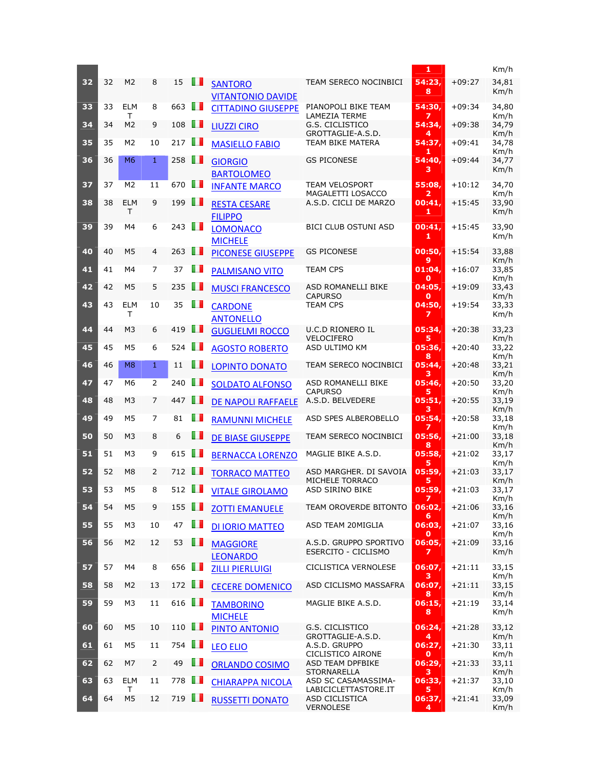|    |    |                  |                |                      |     |                                            |                                               | 1                |          | Km/h                  |
|----|----|------------------|----------------|----------------------|-----|--------------------------------------------|-----------------------------------------------|------------------|----------|-----------------------|
| 32 | 32 | M <sub>2</sub>   | 8              | 15                   | ш   | <b>SANTORO</b><br><b>VITANTONIO DAVIDE</b> | TEAM SERECO NOCINBICI                         | 54:23,<br>8      | $+09:27$ | 34,81<br>Km/h         |
| 33 | 33 | <b>ELM</b><br>т  | 8              | 663                  | m   | <b>CITTADINO GIUSEPPE</b>                  | PIANOPOLI BIKE TEAM<br><b>LAMEZIA TERME</b>   | 54:30,<br>7      | $+09:34$ | 34,80<br>Km/h         |
| 34 | 34 | M <sub>2</sub>   | 9              | 108                  | w   | <b>LIUZZI CIRO</b>                         | G.S. CICLISTICO<br>GROTTAGLIE-A.S.D.          | 54:34,<br>4      | $+09:38$ | 34,79<br>Km/h         |
| 35 | 35 | M2               | 10             | 217                  | ш   | <b>MASIELLO FABIO</b>                      | TEAM BIKE MATERA                              | 54:37,<br>1      | $+09:41$ | 34,78<br>Km/h         |
| 36 | 36 | M <sub>6</sub>   | $\mathbf{1}$   | 258                  | w   | <b>GIORGIO</b><br><b>BARTOLOMEO</b>        | <b>GS PICONESE</b>                            | 54:40,<br>з      | $+09:44$ | 34,77<br>Km/h         |
| 37 | 37 | M <sub>2</sub>   | 11             | 670                  | m   | <b>INFANTE MARCO</b>                       | <b>TEAM VELOSPORT</b>                         | 55:08.           | $+10:12$ | 34,70                 |
| 38 | 38 | <b>ELM</b><br>Τ  | 9              | 199                  | w   | <b>RESTA CESARE</b><br><b>FILIPPO</b>      | MAGALETTI LOSACCO<br>A.S.D. CICLI DE MARZO    | 2<br>00:41,<br>1 | $+15:45$ | Km/h<br>33,90<br>Km/h |
| 39 | 39 | M4               | 6              | 243                  | w   | <b>LOMONACO</b><br><b>MICHELE</b>          | <b>BICI CLUB OSTUNI ASD</b>                   | 00:41,<br>1      | $+15:45$ | 33,90<br>Km/h         |
| 40 | 40 | M <sub>5</sub>   | 4              | 263                  | w   | <b>PICONESE GIUSEPPE</b>                   | <b>GS PICONESE</b>                            | 00:50,<br>9      | $+15:54$ | 33,88<br>Km/h         |
| 41 | 41 | M4               | $\overline{7}$ | 37                   | ш   | <b>PALMISANO VITO</b>                      | <b>TEAM CPS</b>                               | 01:04,<br>O      | $+16:07$ | 33,85<br>Km/h         |
| 42 | 42 | M <sub>5</sub>   | 5              | 235                  | w   | <b>MUSCI FRANCESCO</b>                     | ASD ROMANELLI BIKE<br><b>CAPURSO</b>          | 04:05,<br>O      | $+19:09$ | 33,43<br>Km/h         |
| 43 | 43 | <b>ELM</b><br>т  | 10             | 35                   | w   | <b>CARDONE</b><br><b>ANTONELLO</b>         | <b>TEAM CPS</b>                               | 04:50,<br>7      | $+19:54$ | 33,33<br>Km/h         |
| 44 | 44 | M <sub>3</sub>   | 6              | 419                  | m   | <b>GUGLIELMI ROCCO</b>                     | <b>U.C.D RIONERO IL</b><br><b>VELOCIFERO</b>  | 05:34,<br>5      | $+20:38$ | 33,23<br>Km/h         |
| 45 | 45 | M <sub>5</sub>   | 6              | 524                  | ш   | <b>AGOSTO ROBERTO</b>                      | ASD ULTIMO KM                                 | 05:36,<br>8      | $+20:40$ | 33,22<br>Km/h         |
| 46 | 46 | M <sub>8</sub>   | $\mathbf{1}$   | 11                   | ш   | <b>LOPINTO DONATO</b>                      | TEAM SERECO NOCINBICI                         | 05:44,<br>з      | $+20:48$ | 33,21<br>Km/h         |
| 47 | 47 | M <sub>6</sub>   | $\overline{2}$ | 240                  | w   | <b>SOLDATO ALFONSO</b>                     | ASD ROMANELLI BIKE<br><b>CAPURSO</b>          | 05:46,<br>5.     | $+20:50$ | 33,20<br>Km/h         |
| 48 | 48 | M3               | 7              | 447                  | w   | DE NAPOLI RAFFAELE                         | A.S.D. BELVEDERE                              | 05:51,<br>з      | $+20:55$ | 33,19<br>Km/h         |
| 49 | 49 | M <sub>5</sub>   | 7              | 81                   | ш   | <b>RAMUNNI MICHELE</b>                     | ASD SPES ALBEROBELLO                          | 05:54,<br>7      | $+20:58$ | 33,18<br>Km/h         |
| 50 | 50 | M <sub>3</sub>   | 8              | 6                    | ш   | <b>DE BIASE GIUSEPPE</b>                   | TEAM SERECO NOCINBICI                         | 05:56,<br>8      | $+21:00$ | 33,18<br>Km/h         |
| 51 | 51 | M3               | 9              | 615                  | w   | <b>BERNACCA LORENZO</b>                    | MAGLIE BIKE A.S.D.                            | 05:58,<br>5      | $+21:02$ | 33,17<br>Km/h         |
| 52 | 52 | M8               | 2              | 712                  | m   | <b>TORRACO MATTEO</b>                      | ASD MARGHER. DI SAVOIA<br>MICHELE TORRACO     | 05:59,<br>5      | $+21:03$ | 33,17<br>Km/h         |
| 53 | 53 | M <sub>5</sub>   | 8              | $512$ $\blacksquare$ |     | <b>VITALE GIROLAMO</b>                     | ASD SIRINO BIKE                               | 05:59,<br>7      | $+21:03$ | 33,17<br>Km/h         |
| 54 | 54 | M <sub>5</sub>   | 9              | 155 $\Box$           |     | <b>ZOTTI EMANUELE</b>                      | TEAM OROVERDE BITONTO                         | 06:02,<br>6      | $+21:06$ | 33,16<br>Km/h         |
| 55 | 55 | M3               | 10             | 47                   | O D | <b>DI IORIO MATTEO</b>                     | ASD TEAM 20MIGLIA                             | 06:03,<br>0      | $+21:07$ | 33,16<br>Km/h         |
| 56 | 56 | M <sub>2</sub>   | 12             | 53                   | m   | <b>MAGGIORE</b><br><b>LEONARDO</b>         | A.S.D. GRUPPO SPORTIVO<br>ESERCITO - CICLISMO | 06:05,<br>7      | $+21:09$ | 33,16<br>Km/h         |
| 57 | 57 | M4               | 8              | 656                  | O I | <b>ZILLI PIERLUIGI</b>                     | CICLISTICA VERNOLESE                          | 06:07,<br>з      | $+21:11$ | 33,15<br>Km/h         |
| 58 | 58 | M <sub>2</sub>   | 13             | 172 $\blacksquare$   |     | <b>CECERE DOMENICO</b>                     | ASD CICLISMO MASSAFRA                         | 06:07,<br>8      | $+21:11$ | 33,15<br>Km/h         |
| 59 | 59 | M3               | 11             | 616 $\blacksquare$   |     | <b>TAMBORINO</b><br><b>MICHELE</b>         | MAGLIE BIKE A.S.D.                            | 06:15,<br>8      | $+21:19$ | 33,14<br>Km/h         |
| 60 | 60 | M5               | 10             | 110 $\Box$           |     | PINTO ANTONIO                              | G.S. CICLISTICO<br>GROTTAGLIE-A.S.D.          | 06:24,<br>4      | $+21:28$ | 33,12<br>Km/h         |
| 61 | 61 | M5               | 11             | 754                  | H I | <b>LEO ELIO</b>                            | A.S.D. GRUPPO<br>CICLISTICO AIRONE            | 06:27,<br>0      | $+21:30$ | 33,11<br>Km/h         |
| 62 | 62 | M7               | 2              | 49                   | Œ   | <b>ORLANDO COSIMO</b>                      | ASD TEAM DPFBIKE<br><b>STORNARELLA</b>        | 06:29,<br>з      | $+21:33$ | 33,11<br>Km/h         |
| 63 | 63 | <b>ELM</b><br>T. | 11             | 778                  | O D | <b>CHIARAPPA NICOLA</b>                    | ASD SC CASAMASSIMA-<br>LABICICLETTASTORE.IT   | 06:33,<br>5      | $+21:37$ | 33,10<br>Km/h         |
| 64 | 64 | M <sub>5</sub>   | 12             | 719 <b>II</b>        |     | <b>RUSSETTI DONATO</b>                     | ASD CICLISTICA<br><b>VERNOLESE</b>            | 06:37,<br>4      | $+21:41$ | 33,09<br>Km/h         |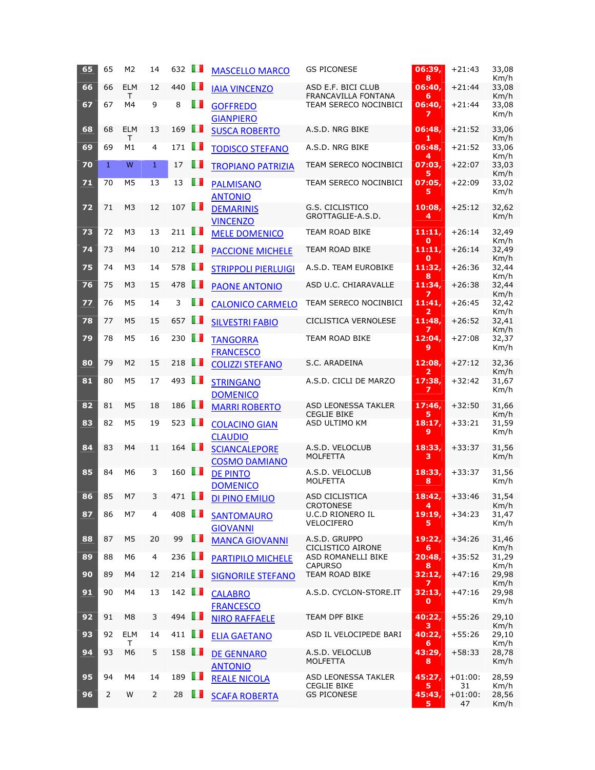| 65 | 65           | M <sub>2</sub>  | 14             | 632        | ш   | <b>MASCELLO MARCO</b>                        | <b>GS PICONESE</b>                               | 06:39,<br>8           | $+21:43$        | 33,08<br>Km/h |
|----|--------------|-----------------|----------------|------------|-----|----------------------------------------------|--------------------------------------------------|-----------------------|-----------------|---------------|
| 66 | 66           | <b>ELM</b><br>т | 12             | 440        | H   | <b>IAIA VINCENZO</b>                         | ASD E.F. BICI CLUB<br><b>FRANCAVILLA FONTANA</b> | 06:40,<br>6           | $+21:44$        | 33,08<br>Km/h |
| 67 | 67           | M4              | 9              | 8          | ш   | <b>GOFFREDO</b><br><b>GIANPIERO</b>          | TEAM SERECO NOCINBICI                            | 06:40,<br>7           | $+21:44$        | 33,08<br>Km/h |
| 68 | 68           | <b>ELM</b><br>T | 13             | 169        | Ш   | <b>SUSCA ROBERTO</b>                         | A.S.D. NRG BIKE                                  | 06:48,<br>1           | $+21:52$        | 33,06<br>Km/h |
| 69 | 69           | M1              | 4              | 171        | m   | <b>TODISCO STEFANO</b>                       | A.S.D. NRG BIKE                                  | 06:48,<br>4           | $+21:52$        | 33,06<br>Km/h |
| 70 | $\mathbf{1}$ | W               | $\mathbf{1}$   | 17         | ш   | <b>TROPIANO PATRIZIA</b>                     | TEAM SERECO NOCINBICI                            | 07:03,<br>5           | $+22:07$        | 33,03<br>Km/h |
| 71 | 70           | M <sub>5</sub>  | 13             | 13         | ш   | <b>PALMISANO</b><br><b>ANTONIO</b>           | TEAM SERECO NOCINBICI                            | 07:05,<br>5           | $+22:09$        | 33,02<br>Km/h |
| 72 | 71           | M <sub>3</sub>  | 12             | 107        | m   | <b>DEMARINIS</b><br><b>VINCENZO</b>          | G.S. CICLISTICO<br>GROTTAGLIE-A.S.D.             | 10:08,<br>4           | $+25:12$        | 32,62<br>Km/h |
| 73 | 72           | M3              | 13             | 211        | OП  | <b>MELE DOMENICO</b>                         | TEAM ROAD BIKE                                   | 11:11,<br>О           | $+26:14$        | 32,49<br>Km/h |
| 74 | 73           | M4              | 10             | 212        | ш   | <b>PACCIONE MICHELE</b>                      | TEAM ROAD BIKE                                   | 11:11,<br>О           | $+26:14$        | 32,49<br>Km/h |
| 75 | 74           | M <sub>3</sub>  | 14             | 578        | u n | <b>STRIPPOLI PIERLUIGI</b>                   | A.S.D. TEAM EUROBIKE                             | 11:32,<br>8           | $+26:36$        | 32,44<br>Km/h |
| 76 | 75           | M <sub>3</sub>  | 15             | 478        | ш   | <b>PAONE ANTONIO</b>                         | ASD U.C. CHIARAVALLE                             | 11:34,                | $+26:38$        | 32,44<br>Km/h |
| 77 | 76           | M <sub>5</sub>  | 14             | 3          | ш   | <b>CALONICO CARMELO</b>                      | TEAM SERECO NOCINBICI                            | 11:41.<br>2           | $+26:45$        | 32,42<br>Km/h |
| 78 | 77           | M <sub>5</sub>  | 15             | 657        | H   | <b>SILVESTRI FABIO</b>                       | CICLISTICA VERNOLESE                             | 11:48,                | $+26:52$        | 32,41<br>Km/h |
| 79 | 78           | M <sub>5</sub>  | 16             | 230        | a n | <b>TANGORRA</b><br><b>FRANCESCO</b>          | TEAM ROAD BIKE                                   | 12:04,<br>9           | $+27:08$        | 32,37<br>Km/h |
| 80 | 79           | M <sub>2</sub>  | 15             | 218        | m   | <b>COLIZZI STEFANO</b>                       | S.C. ARADEINA                                    | 12:08,<br>2           | $+27:12$        | 32,36<br>Km/h |
| 81 | 80           | M <sub>5</sub>  | 17             | 493        | m   | <b>STRINGANO</b><br><b>DOMENICO</b>          | A.S.D. CICLI DE MARZO                            | 17:38,<br>7           | $+32:42$        | 31,67<br>Km/h |
| 82 | 81           | M <sub>5</sub>  | 18             | 186        | m   | <b>MARRI ROBERTO</b>                         | <b>ASD LEONESSA TAKLER</b><br><b>CEGLIE BIKE</b> | 17:46,<br>5           | $+32:50$        | 31,66<br>Km/h |
| 83 | 82           | M5              | 19             | 523        | u n | <b>COLACINO GIAN</b><br><b>CLAUDIO</b>       | ASD ULTIMO KM                                    | 18:17,<br>9           | +33:21          | 31,59<br>Km/h |
| 84 | 83           | M4              | 11             | 164        | H.  | <b>SCIANCALEPORE</b><br><b>COSMO DAMIANO</b> | A.S.D. VELOCLUB<br>MOLFETTA                      | 18:33,<br>з           | $+33:37$        | 31,56<br>Km/h |
| 85 | 84           | M6              | 3              | 160        | ш   | <b>DE PINTO</b><br><b>DOMENICO</b>           | A.S.D. VELOCLUB<br>MOLFETTA                      | 18:33,<br>8           | $+33:37$        | 31,56<br>Km/h |
| 86 | 85           | M7              | 3              | 471        | H I | DI PINO EMILIO                               | ASD CICLISTICA<br><b>CROTONESE</b>               | 18:42,<br>4           | $+33:46$        | 31,54<br>Km/h |
| 87 | 86           | M7              | 4              | 408        | m   | <b>SANTOMAURO</b><br><b>GIOVANNI</b>         | <b>U.C.D RIONERO IL</b><br><b>VELOCIFERO</b>     | 19:19,<br>5           | $+34:23$        | 31.47<br>Km/h |
| 88 | 87           | M <sub>5</sub>  | 20             | 99         | ш   | <b>MANCA GIOVANNI</b>                        | A.S.D. GRUPPO<br>CICLISTICO AIRONE               | 19:22,<br>6           | $+34:26$        | 31,46<br>Km/h |
| 89 | 88           | M6              | 4              | 236        | O D | PARTIPILO MICHELE                            | ASD ROMANELLI BIKE<br><b>CAPURSO</b>             | 20:48,<br>8           | $+35:52$        | 31,29<br>Km/h |
| 90 | 89           | M4              | 12             | 214        | m   | <b>SIGNORILE STEFANO</b>                     | TEAM ROAD BIKE                                   | 32:12,<br>7           | $+47:16$        | 29,98<br>Km/h |
| 91 | 90           | M4              | 13             | 142 $\Box$ |     | <b>CALABRO</b><br><b>FRANCESCO</b>           | A.S.D. CYCLON-STORE.IT                           | 32:13,<br>$\mathbf o$ | +47:16          | 29,98<br>Km/h |
| 92 | 91           | M <sub>8</sub>  | 3              | 494        | ш   | <b>NIRO RAFFAELE</b>                         | TEAM DPF BIKE                                    | 40:22,<br>з           | $+55:26$        | 29,10<br>Km/h |
| 93 | 92           | <b>ELM</b><br>т | 14             | 411        | U D | <b>ELIA GAETANO</b>                          | ASD IL VELOCIPEDE BARI                           | 40:22,<br>6           | $+55:26$        | 29,10<br>Km/h |
| 94 | 93           | M6              | 5              | 158        | ш   | <b>DE GENNARO</b><br><b>ANTONIO</b>          | A.S.D. VELOCLUB<br>MOLFETTA                      | 43:29,<br>8           | +58:33          | 28,78<br>Km/h |
| 95 | 94           | M4              | 14             | 189        | U D | <b>REALE NICOLA</b>                          | ASD LEONESSA TAKLER<br><b>CEGLIE BIKE</b>        | 45:27,<br>5           | $+01:00:$<br>31 | 28,59<br>Km/h |
| 96 | 2            | W               | $\overline{2}$ | 28         | H.  | <b>SCAFA ROBERTA</b>                         | <b>GS PICONESE</b>                               | 45:43,<br>5           | $+01:00:$<br>47 | 28,56<br>Km/h |